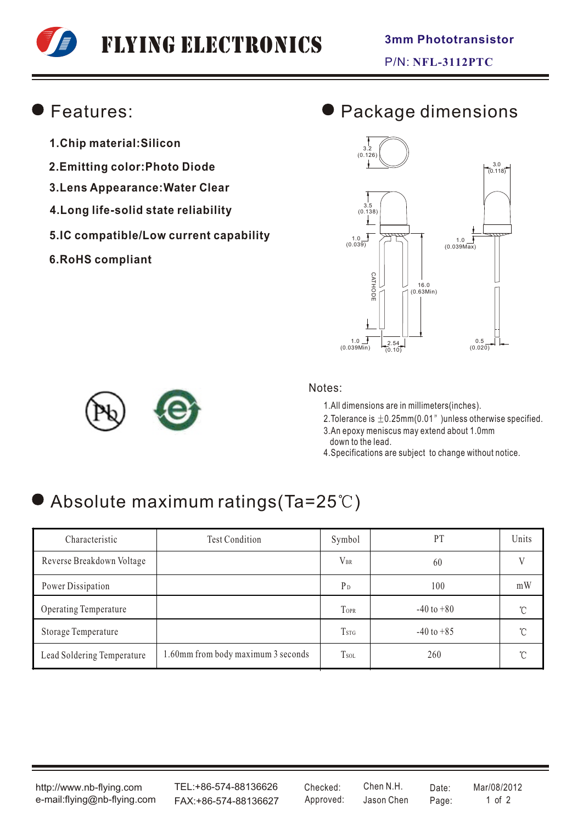# Flying Electronics

### Features:

- **1.Chip material:Silicon**
- **2.Emitting color:Photo Diode**
- **3.Lens Appearance:Water Clear**
- **4.Long life-solid state reliability**
- **5.IC compatible/Low current capability**
- **6.RoHS compliant**

### Package dimensions





#### Notes:

1.All dimensions are in millimeters(inches).

2. Tolerance is  $\pm$  0.25mm(0.01" )unless otherwise specified.

3.An epoxy meniscus may extend about 1.0mm down to the lead.

4.Specifications are subject to change without notice.

## $\bullet$  Absolute maximum ratings(Ta=25°C)

| Characteristic               | <b>Test Condition</b>              | Symbol                  | PT             | Units         |
|------------------------------|------------------------------------|-------------------------|----------------|---------------|
| Reverse Breakdown Voltage    |                                    | $V_{BR}$                | 60             |               |
| Power Dissipation            |                                    | P <sub>D</sub>          | 100            | mW            |
| <b>Operating Temperature</b> |                                    | <b>TOPR</b>             | $-40$ to $+80$ | $\mathcal{C}$ |
| Storage Temperature          |                                    | <b>T</b> <sub>STG</sub> | $-40$ to $+85$ | $^{\circ}$ C  |
| Lead Soldering Temperature   | 1.60mm from body maximum 3 seconds | <b>T</b> sol            | 260            | ົ             |

http://www.nb-flying.com e-mail:flying@nb-flying.com

TEL:+86-574-88136626 FAX:+86-574-88136627 Approved: Jason Chen Page: 1 of 2

Jason Chen Checked: Chen N.H. Date: Mar/08/2012